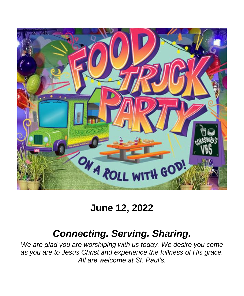

# **June 12, 2022**

# *Connecting. Serving. Sharing.*

*We are glad you are worshiping with us today. We desire you come as you are to Jesus Christ and experience the fullness of His grace. All are welcome at St. Paul's.*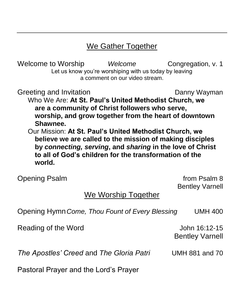### We Gather Together

Welcome to Worship *Welcome* Congregation, v. 1 Let us know you're worshiping with us today by leaving a comment on our video stream.

Greeting and Invitation **Danny Wayman** 

Who We Are: **At St. Paul's United Methodist Church, we are a community of Christ followers who serve, worship, and grow together from the heart of downtown Shawnee.**

Our Mission: **At St. Paul's United Methodist Church, we believe we are called to the mission of making disciples by** *connecting, serving***, and** *sharing* **in the love of Christ to all of God's children for the transformation of the world.**

Opening Psalm **from Psalm 8** and 10 and 10 and 10 and 10 and 10 and 10 and 10 and 10 and 10 and 10 and 10 and 10 and 10 and 10 and 10 and 10 and 10 and 10 and 10 and 10 and 10 and 10 and 10 and 10 and 10 and 10 and 10 and

Bentley Varnell

### We Worship Together

Opening Hymn*Come, Thou Fount of Every Blessing* UMH 400

Reading of the Word **Contract Contract Contract Contract Contract Contract Contract Contract Contract Contract Contract Contract Contract Contract Contract Contract Contract Contract Contract Contract Contract Contract Con** 

Bentley Varnell

*The Apostles' Creed* and *The Gloria Patri* UMH 881 and 70

Pastoral Prayer and the Lord's Prayer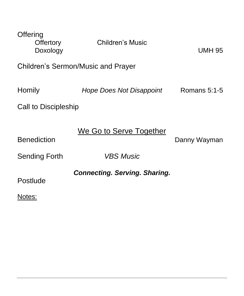| Offering<br><b>Offertory</b><br>Doxology | <b>Children's Music</b>              | <b>UMH 95</b> |  |
|------------------------------------------|--------------------------------------|---------------|--|
| Children's Sermon/Music and Prayer       |                                      |               |  |
| Homily                                   | <b>Hope Does Not Disappoint</b>      | Romans 5:1-5  |  |
| Call to Discipleship                     |                                      |               |  |
| <b>Benediction</b>                       | We Go to Serve Together              | Danny Wayman  |  |
| <b>Sending Forth</b>                     | <b>VBS Music</b>                     |               |  |
| Postlude<br>Notes:                       | <b>Connecting. Serving. Sharing.</b> |               |  |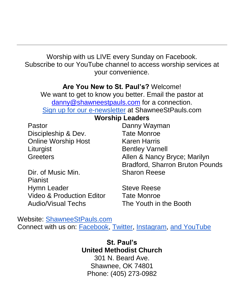Worship with us LIVE every Sunday on Facebook. Subscribe to our YouTube channel to access worship services at your convenience.

#### **Are You New to St. Paul's?** Welcome!

We want to get to know you better. Email the pastor at [danny@shawneestpauls.com](mailto:danny@shawneestpauls.com) for a connection. [Sign up for our e-newsletter](https://shawneestpauls.com/email-updates) at ShawneeStPauls.com

**Worship Leaders**

| Pastor                               | Danny Wayman                           |
|--------------------------------------|----------------------------------------|
| Discipleship & Dev.                  | <b>Tate Monroe</b>                     |
| <b>Online Worship Host</b>           | <b>Karen Harris</b>                    |
| Liturgist                            | <b>Bentley Varnell</b>                 |
| <b>Greeters</b>                      | Allen & Nancy Bryce; Marilyn           |
|                                      | <b>Bradford, Sharron Bruton Pounds</b> |
| Dir. of Music Min.                   | <b>Sharon Reese</b>                    |
| Pianist                              |                                        |
| Hymn Leader                          | <b>Steve Reese</b>                     |
| <b>Video &amp; Production Editor</b> | <b>Tate Monroe</b>                     |
| <b>Audio/Visual Techs</b>            | The Youth in the Booth                 |

Website: [ShawneeStPauls.com](https://shawneestpauls.com/) Connect with us on: [Facebook,](https://www.facebook.com/shawneestpauls) [Twitter,](https://www.twitter.com/shawneestpauls) [Instagram,](https://www.instagram.com/shawneestpauls) [and YouTube](https://www.youtube.com/channel/UCfpP1r4ZRkoR49QBVKFDpRg)

> **St. Paul's United Methodist Church** 301 N. Beard Ave. Shawnee, OK 74801 Phone: (405) 273-0982